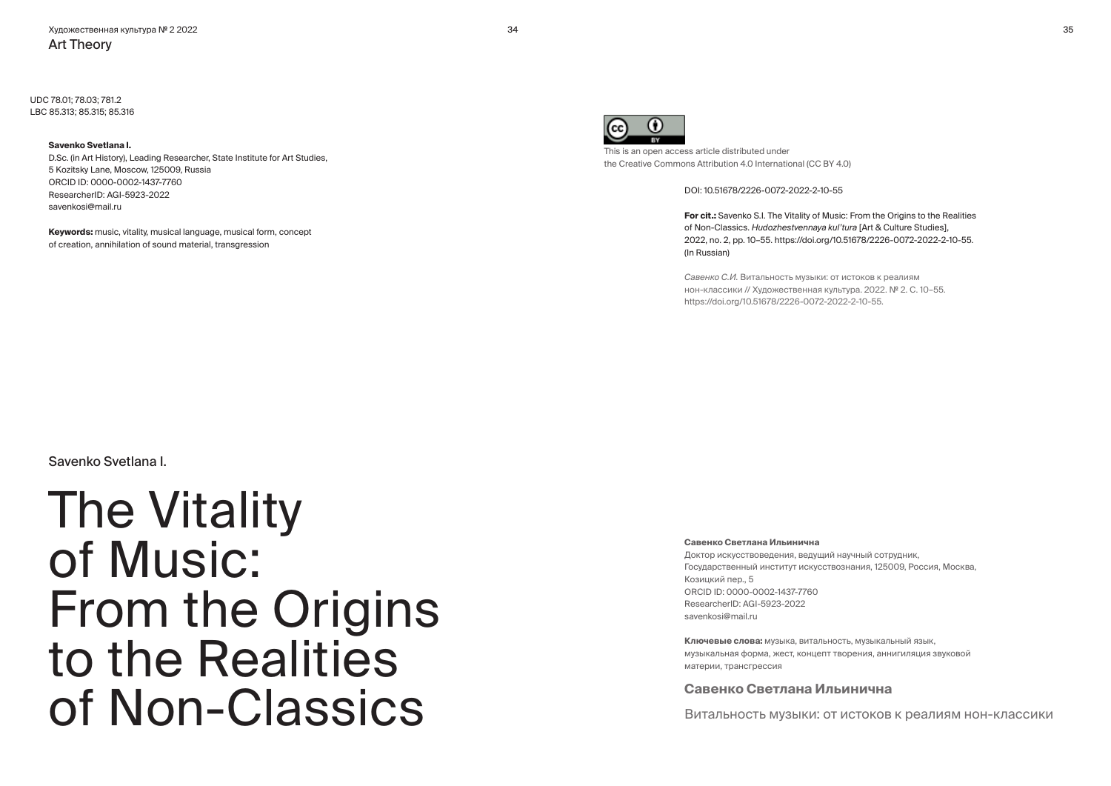UDC 78.01; 78.03; 781.2 LBC 85.313; 85.315; 85.316

#### **Savenko Svetlana I.**

D.Sc. (in Art History), Leading Researcher, State Institute for Art Studies, 5 Kozitsky Lane, Moscow, 125009, Russia ORCID ID: 0000-0002-1437-7760 ResearcherID: AGI-5923-2022 savenkosi@mail.ru

**Keywords:** music, vitality, musical language, musical form, concept of creation, annihilation of sound material, transgression



This is an open access article distributed under the Creative Commons Attribution 4.0 International (CC BY 4.0)

DOI: 10.51678/2226-0072-2022-2-10-55

**For cit.:** Savenko S.I. The Vitality of Music: From the Origins to the Realities of Non-Classics. *Hudozhestvennaya kul'tura* [Art & Culture Studies], 2022, no. 2, pp. 10–55. https://doi.org/10.51678/2226-0072-2022-2-10-55. (In Russian)

*Савенко С.И.* Витальность музыки: от истоков к реалиям нон-классики // Художественная культура. 2022. № 2. С. 10–55. https://doi.org/10.51678/2226-0072-2022-2-10-55.

Savenko Svetlana I.

The Vitality of Music: From the Origins to the Realities of Non-Classics

#### **Савенко Светлана Ильинична**

Доктор искусствоведения, ведущий научный сотрудник, Государственный институт искусствознания, 125009, Россия, Москва, Козицкий пер., 5 ORCID ID: 0000-0002-1437-7760 ResearcherID: AGI-5923-2022 savenkosi@mail.ru

**Ключевые слова:** музыка, витальность, музыкальный язык, музыкальная форма, жест, концепт творения, аннигиляция звуковой материи, трансгрессия

### **Савенко Светлана Ильинична**

Витальность музыки: от истоков к реалиям нон-классики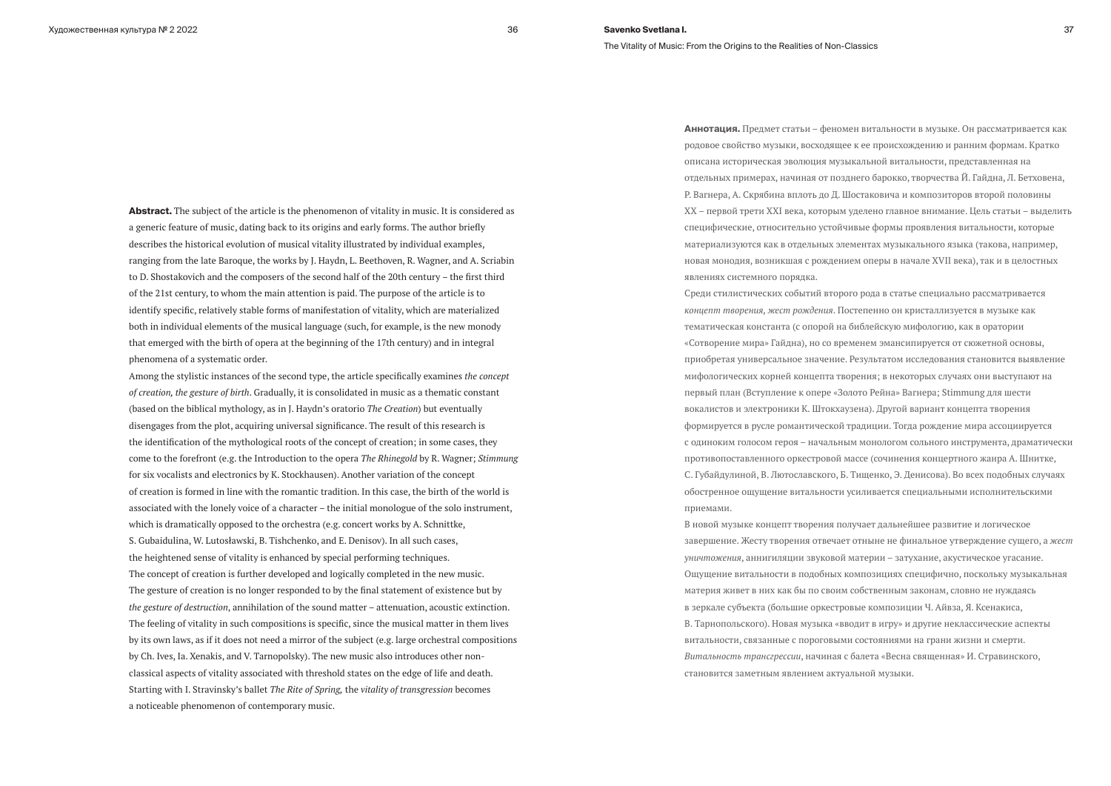**Abstract.** The subject of the article is the phenomenon of vitality in music. It is considered as a generic feature of music, dating back to its origins and early forms. The author briefly describes the historical evolution of musical vitality illustrated by individual examples, ranging from the late Baroque, the works by J. Haydn, L. Beethoven, R. Wagner, and A. Scriabin to D. Shostakovich and the composers of the second half of the 20th century – the first third of the 21st century, to whom the main attention is paid. The purpose of the article is to identify specific, relatively stable forms of manifestation of vitality, which are materialized both in individual elements of the musical language (such, for example, is the new monody that emerged with the birth of opera at the beginning of the 17th century) and in integral phenomena of a systematic order.

Among the stylistic instances of the second type, the article specifically examines *the concept of creation, the gesture of birth*. Gradually, it is consolidated in music as a thematic constant (based on the biblical mythology, as in J. Haydn's oratorio *The Creation*) but eventually disengages from the plot, acquiring universal significance. The result of this research is the identification of the mythological roots of the concept of creation; in some cases, they come to the forefront (e.g. the Introduction to the opera *The Rhinegold* by R. Wagner; *Stimmung* for six vocalists and electronics by K. Stockhausen). Another variation of the concept of creation is formed in line with the romantic tradition. In this case, the birth of the world is associated with the lonely voice of a character – the initial monologue of the solo instrument, which is dramatically opposed to the orchestra (e.g. concert works by A. Schnittke, S. Gubaidulina, W. Lutosławski, B. Tishchenko, and E. Denisov). In all such cases, the heightened sense of vitality is enhanced by special performing techniques. The concept of creation is further developed and logically completed in the new music. The gesture of creation is no longer responded to by the final statement of existence but by *the gesture of destruction*, annihilation of the sound matter – attenuation, acoustic extinction. The feeling of vitality in such compositions is specific, since the musical matter in them lives by its own laws, as if it does not need a mirror of the subject (e.g. large orchestral compositions by Ch. Ives, Ia. Xenakis, and V. Tarnopolsky). The new music also introduces other nonclassical aspects of vitality associated with threshold states on the edge of life and death. Starting with I. Stravinsky's ballet *The Rite of Spring,* the *vitality of transgression* becomes a noticeable phenomenon of contemporary music.

**Аннотация.** Предмет статьи – феномен витальности в музыке. Он рассматривается как родовое свойство музыки, восходящее к ее происхождению и ранним формам. Кратко описана историческая эволюция музыкальной витальности, представленная на отдельных примерах, начиная от позднего барокко, творчества Й. Гайдна, Л. Бетховена, Р. Вагнера, А. Скрябина вплоть до Д. Шостаковича и композиторов второй половины ХХ – первой трети ХХI века, которым уделено главное внимание. Цель статьи – выделить специфические, относительно устойчивые формы проявления витальности, которые материализуются как в отдельных элементах музыкального языка (такова, например, новая монодия, возникшая с рождением оперы в начале XVII века), так и в целостных явлениях системного порядка.

Среди стилистических событий второго рода в статье специально рассматривается *концепт творения, жест рождения*. Постепенно он кристаллизуется в музыке как тематическая константа (с опорой на библейскую мифологию, как в оратории «Сотворение мира» Гайдна), но со временем эмансипируется от сюжетной основы, приобретая универсальное значение. Результатом исследования становится выявление мифологических корней концепта творения; в некоторых случаях они выступают на первый план (Вступление к опере «Золото Рейна» Вагнера; Stimmung для шести вокалистов и электроники К. Штокхаузена). Другой вариант концепта творения формируется в русле романтической традиции. Тогда рождение мира ассоциируется с одиноким голосом героя – начальным монологом сольного инструмента, драматически противопоставленного оркестровой массе (сочинения концертного жанра А. Шнитке, С. Губайдулиной, В. Лютославского, Б. Тищенко, Э. Денисова). Во всех подобных случаях обостренное ощущение витальности усиливается специальными исполнительскими приемами.

В новой музыке концепт творения получает дальнейшее развитие и логическое завершение. Жесту творения отвечает отныне не финальное утверждение сущего, а *жест уничтожения*, аннигиляции звуковой материи – затухание, акустическое угасание. Ощущение витальности в подобных композициях специфично, поскольку музыкальная материя живет в них как бы по своим собственным законам, словно не нуждаясь в зеркале субъекта (большие оркестровые композиции Ч. Айвза, Я. Ксенакиса, В. Тарнопольского). Новая музыка «вводит в игру» и другие неклассические аспекты витальности, связанные с пороговыми состояниями на грани жизни и смерти. *Витальность трансгрессии*, начиная с балета «Весна священная» И. Стравинского, становится заметным явлением актуальной музыки.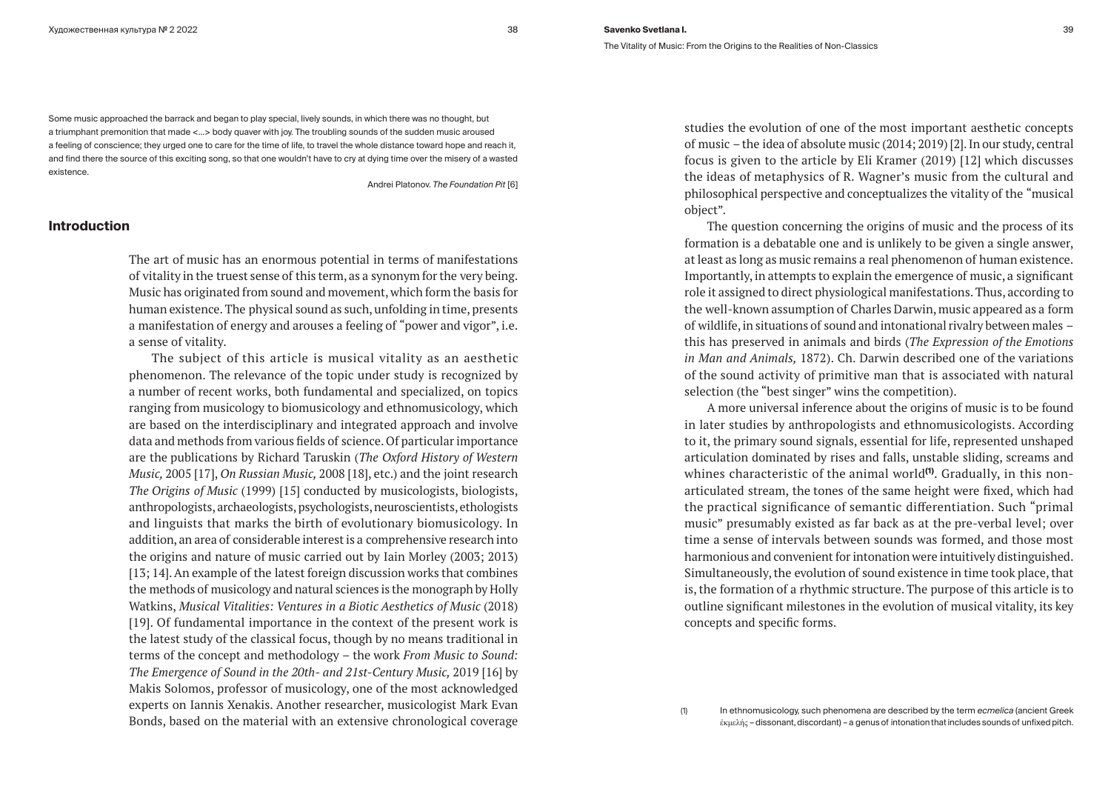Some music approached the barrack and began to play special, lively sounds, in which there was no thought, but a triumphant premonition that made <…> body quaver with joy. The troubling sounds of the sudden music aroused a feeling of conscience; they urged one to care for the time of life, to travel the whole distance toward hope and reach it, and find there the source of this exciting song, so that one wouldn't have to cry at dying time over the misery of a wasted existence.

Andrei Platonov. *The Foundation Pit* [6]

# **Introduction**

The art of music has an enormous potential in terms of manifestations of vitality in the truest sense of this term, as a synonym for the very being. Music has originated from sound and movement, which form the basis for human existence. The physical sound as such, unfolding in time, presents a manifestation of energy and arouses a feeling of "power and vigor", i.e. a sense of vitality.

The subject of this article is musical vitality as an aesthetic phenomenon. The relevance of the topic under study is recognized by a number of recent works, both fundamental and specialized, on topics ranging from musicology to biomusicology and ethnomusicology, which are based on the interdisciplinary and integrated approach and involve data and methods from various fields of science. Of particular importance are the publications by Richard Taruskin (*The Oxford History of Western Music,* 2005 [17], *On Russian Music,* 2008 [18], etc.) and the joint research *The Origins of Music* (1999) [15] conducted by musicologists, biologists, anthropologists, archaeologists, psychologists, neuroscientists, ethologists and linguists that marks the birth of evolutionary biomusicology. In addition, an area of considerable interest is a comprehensive research into the origins and nature of music carried out by Iain Morley (2003; 2013) [13; 14]. An example of the latest foreign discussion works that combines the methods of musicology and natural sciences is the monograph by Holly Watkins, *Musical Vitalities: Ventures in a Biotic Aesthetics of Music* (2018) [19]. Of fundamental importance in the context of the present work is the latest study of the classical focus, though by no means traditional in terms of the concept and methodology – the work *From Music to Sound: The Emergence of Sound in the 20th- and 21st-Century Music,* 2019 [16] by Makis Solomos, professor of musicology, one of the most acknowledged experts on Iannis Xenakis. Another researcher, musicologist Mark Evan Bonds, based on the material with an extensive chronological coverage

studies the evolution of one of the most important aesthetic concepts of music – the idea of absolute music (2014; 2019) [2]. In our study, central focus is given to the article by Eli Kramer (2019) [12] which discusses the ideas of metaphysics of R. Wagner's music from the cultural and philosophical perspective and conceptualizes the vitality of the "musical object".

The question concerning the origins of music and the process of its formation is a debatable one and is unlikely to be given a single answer, at least as long as music remains a real phenomenon of human existence. Importantly, in attempts to explain the emergence of music, a significant role it assigned to direct physiological manifestations. Thus, according to the well-known assumption of Charles Darwin, music appeared as a form of wildlife, in situations of sound and intonational rivalry between males – this has preserved in animals and birds (*The Expression of the Emotions in Man and Animals,* 1872). Ch. Darwin described one of the variations of the sound activity of primitive man that is associated with natural selection (the "best singer" wins the competition).

A more universal inference about the origins of music is to be found in later studies by anthropologists and ethnomusicologists. According to it, the primary sound signals, essential for life, represented unshaped articulation dominated by rises and falls, unstable sliding, screams and whines characteristic of the animal world<sup>(1)</sup>. Gradually, in this nonarticulated stream, the tones of the same height were fixed, which had the practical significance of semantic differentiation. Such "primal music" presumably existed as far back as at the pre-verbal level; over time a sense of intervals between sounds was formed, and those most harmonious and convenient for intonation were intuitively distinguished. Simultaneously, the evolution of sound existence in time took place, that is, the formation of a rhythmic structure. The purpose of this article is to outline significant milestones in the evolution of musical vitality, its key concepts and specific forms.

(1) In ethnomusicology, such phenomena are described by the term *ecmelica* (ancient Greek ἐκμελής – dissonant, discordant) – a genus of intonation that includes sounds of unfixed pitch.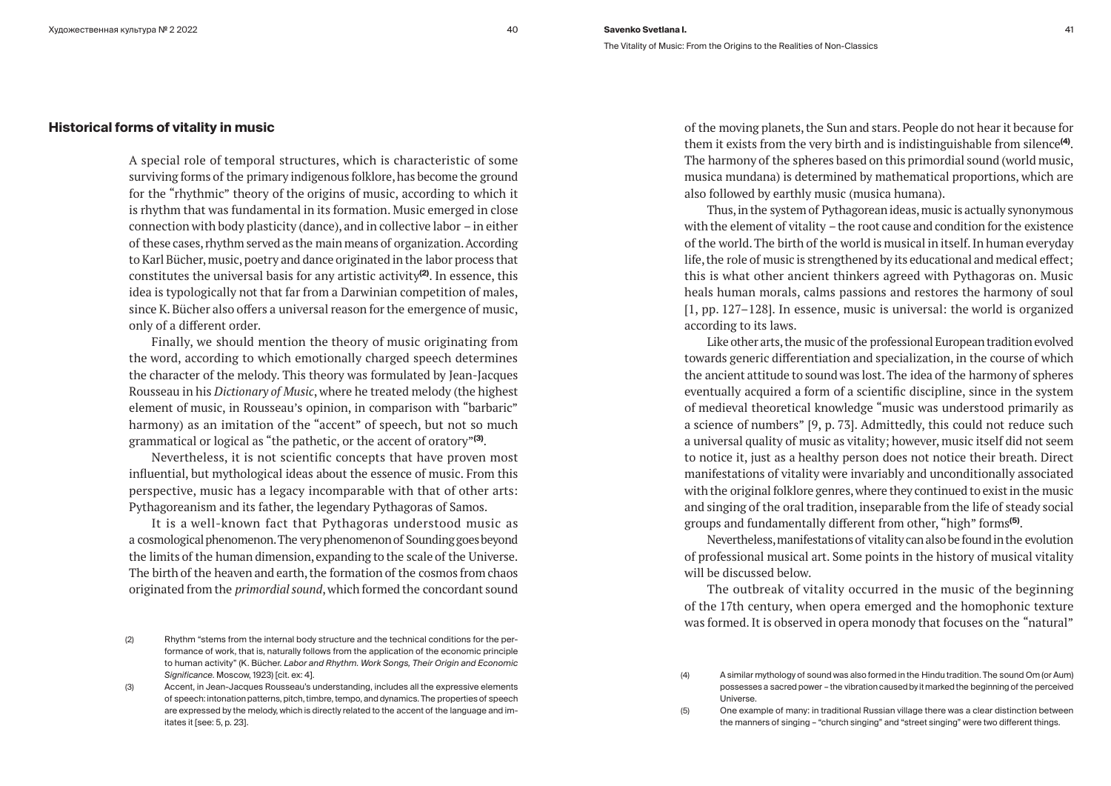## **Historical forms of vitality in music**

A special role of temporal structures, which is characteristic of some surviving forms of the primary indigenous folklore, has become the ground for the "rhythmic" theory of the origins of music, according to which it is rhythm that was fundamental in its formation. Music emerged in close connection with body plasticity (dance), and in collective labor – in either of these cases, rhythm served as the main means of organization. According to Karl Bücher, music, poetry and dance originated in the labor process that constitutes the universal basis for any artistic activity**(2)**. In essence, this idea is typologically not that far from a Darwinian competition of males, since K. Bücher also offers a universal reason for the emergence of music, only of a different order.

Finally, we should mention the theory of music originating from the word, according to which emotionally charged speech determines the character of the melody. This theory was formulated by Jean-Jacques Rousseau in his *Dictionary of Music*, where he treated melody (the highest element of music, in Rousseau's opinion, in comparison with "barbaric" harmony) as an imitation of the "accent" of speech, but not so much grammatical or logical as "the pathetic, or the accent of oratory"**(3)**.

Nevertheless, it is not scientific concepts that have proven most influential, but mythological ideas about the essence of music. From this perspective, music has a legacy incomparable with that of other arts: Pythagoreanism and its father, the legendary Pythagoras of Samos.

It is a well-known fact that Pythagoras understood music as a cosmological phenomenon. The very phenomenon of Sounding goes beyond the limits of the human dimension, expanding to the scale of the Universe. The birth of the heaven and earth, the formation of the cosmos from chaos originated from the *primordial sound*, which formed the concordant sound of the moving planets, the Sun and stars. People do not hear it because for them it exists from the very birth and is indistinguishable from silence**(4)**. The harmony of the spheres based on this primordial sound (world music, musica mundana) is determined by mathematical proportions, which are also followed by earthly music (musica humana).

Thus, in the system of Pythagorean ideas, music is actually synonymous with the element of vitality – the root cause and condition for the existence of the world. The birth of the world is musical in itself. In human everyday life, the role of music is strengthened by its educational and medical effect; this is what other ancient thinkers agreed with Pythagoras on. Music heals human morals, calms passions and restores the harmony of soul [1, pp. 127–128]. In essence, music is universal: the world is organized according to its laws.

Like other arts, the music of the professional European tradition evolved towards generic differentiation and specialization, in the course of which the ancient attitude to sound was lost. The idea of the harmony of spheres eventually acquired a form of a scientific discipline, since in the system of medieval theoretical knowledge "music was understood primarily as a science of numbers" [9, p. 73]. Admittedly, this could not reduce such a universal quality of music as vitality; however, music itself did not seem to notice it, just as a healthy person does not notice their breath. Direct manifestations of vitality were invariably and unconditionally associated with the original folklore genres, where they continued to exist in the music and singing of the oral tradition, inseparable from the life of steady social groups and fundamentally different from other, "high" forms**(5)**.

Nevertheless, manifestations of vitality can also be found in the evolution of professional musical art. Some points in the history of musical vitality will be discussed below.

The outbreak of vitality occurred in the music of the beginning of the 17th century, when opera emerged and the homophonic texture was formed. It is observed in opera monody that focuses on the "natural"

<sup>(2)</sup> Rhythm "stems from the internal body structure and the technical conditions for the performance of work, that is, naturally follows from the application of the economic principle to human activity" (K. Bücher. *Labor and Rhythm. Work Songs, Their Origin and Economic Significance*. Moscow, 1923) [cit. ex: 4].

<sup>(3)</sup> Accent, in Jean-Jacques Rousseau's understanding, includes all the expressive elements of speech: intonation patterns, pitch, timbre, tempo, and dynamics. The properties of speech are expressed by the melody, which is directly related to the accent of the language and imitates it [see: 5, p. 23].

<sup>(4)</sup> A similar mythology of sound was also formed in the Hindu tradition. The sound Om (or Aum) possesses a sacred power – the vibration caused by it marked the beginning of the perceived Universe.

<sup>(5)</sup> One example of many: in traditional Russian village there was a clear distinction between the manners of singing – "church singing" and "street singing" were two different things.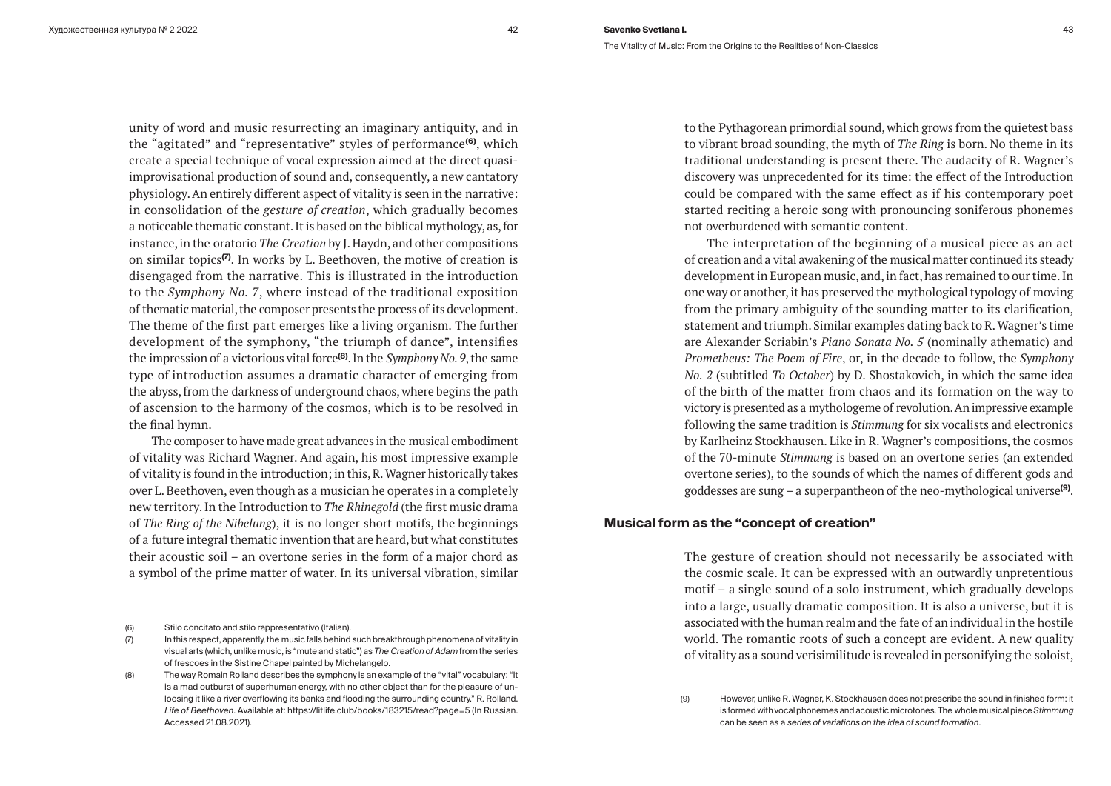unity of word and music resurrecting an imaginary antiquity, and in the "agitated" and "representative" styles of performance**(6)**, which create a special technique of vocal expression aimed at the direct quasiimprovisational production of sound and, consequently, a new cantatory physiology. An entirely different aspect of vitality is seen in the narrative: in consolidation of the *gesture of creation*, which gradually becomes a noticeable thematic constant. It is based on the biblical mythology, as, for instance, in the oratorio *The Creation* by J. Haydn, and other compositions on similar topics**(7)**. In works by L. Beethoven, the motive of creation is disengaged from the narrative. This is illustrated in the introduction to the *Symphony No. 7*, where instead of the traditional exposition of thematic material, the composer presents the process of its development. The theme of the first part emerges like a living organism. The further development of the symphony, "the triumph of dance", intensifies the impression of a victorious vital force**(8)**. In the *Symphony No. 9*, the same type of introduction assumes a dramatic character of emerging from the abyss, from the darkness of underground chaos, where begins the path of ascension to the harmony of the cosmos, which is to be resolved in the final hymn.

The composer to have made great advances in the musical embodiment of vitality was Richard Wagner. And again, his most impressive example of vitality is found in the introduction; in this, R. Wagner historically takes over L. Beethoven, even though as a musician he operates in a completely new territory. In the Introduction to *The Rhinegold* (the first music drama of *The Ring of the Nibelung*), it is no longer short motifs, the beginnings of a future integral thematic invention that are heard, but what constitutes their acoustic soil – an overtone series in the form of a major chord as a symbol of the prime matter of water. In its universal vibration, similar

- (6) Stilo concitato and stilo rappresentativo (Italian).
- (7) In this respect, apparently, the music falls behind such breakthrough phenomena of vitality in visual arts (which, unlike music, is "mute and static") as *The Creation of Adam* from the series of frescoes in the Sistine Chapel painted by Michelangelo.

to the Pythagorean primordial sound, which grows from the quietest bass to vibrant broad sounding, the myth of *The Ring* is born. No theme in its traditional understanding is present there. The audacity of R. Wagner's discovery was unprecedented for its time: the effect of the Introduction could be compared with the same effect as if his contemporary poet started reciting a heroic song with pronouncing soniferous phonemes not overburdened with semantic content.

The interpretation of the beginning of a musical piece as an act of creation and a vital awakening of the musical matter continued its steady development in European music, and, in fact, has remained to our time. In one way or another, it has preserved the mythological typology of moving from the primary ambiguity of the sounding matter to its clarification, statement and triumph. Similar examples dating back to R. Wagner's time are Alexander Scriabin's *Piano Sonata No. 5* (nominally athematic) and *Prometheus: The Poem of Fire*, or, in the decade to follow, the *Symphony No. 2* (subtitled *To October*) by D. Shostakovich, in which the same idea of the birth of the matter from chaos and its formation on the way to victory is presented as a mythologeme of revolution. An impressive example following the same tradition is *Stimmung* for six vocalists and electronics by Karlheinz Stockhausen. Like in R. Wagner's compositions, the cosmos of the 70-minute *Stimmung* is based on an overtone series (an extended overtone series), to the sounds of which the names of different gods and goddesses are sung – a superpantheon of the neo-mythological universe**(9)**.

# **Musical form as the "concept of creation"**

The gesture of creation should not necessarily be associated with the cosmic scale. It can be expressed with an outwardly unpretentious motif – a single sound of a solo instrument, which gradually develops into a large, usually dramatic composition. It is also a universe, but it is associated with the human realm and the fate of an individual in the hostile world. The romantic roots of such a concept are evident. A new quality of vitality as a sound verisimilitude is revealed in personifying the soloist,

<sup>(8)</sup> The way Romain Rolland describes the symphony is an example of the "vital" vocabulary: "It is a mad outburst of superhuman energy, with no other object than for the pleasure of unloosing it like a river overflowing its banks and flooding the surrounding country." R. Rolland. *Life of Beethoven*. Available at: https://litlife.club/books/183215/read?page=5 (In Russian. Accessed 21.08.2021).

<sup>(9)</sup> However, unlike R. Wagner, K. Stockhausen does not prescribe the sound in finished form: it is formed with vocal phonemes and acoustic microtones. The whole musical piece *Stimmung* can be seen as a *series of variations on the idea of sound formation*.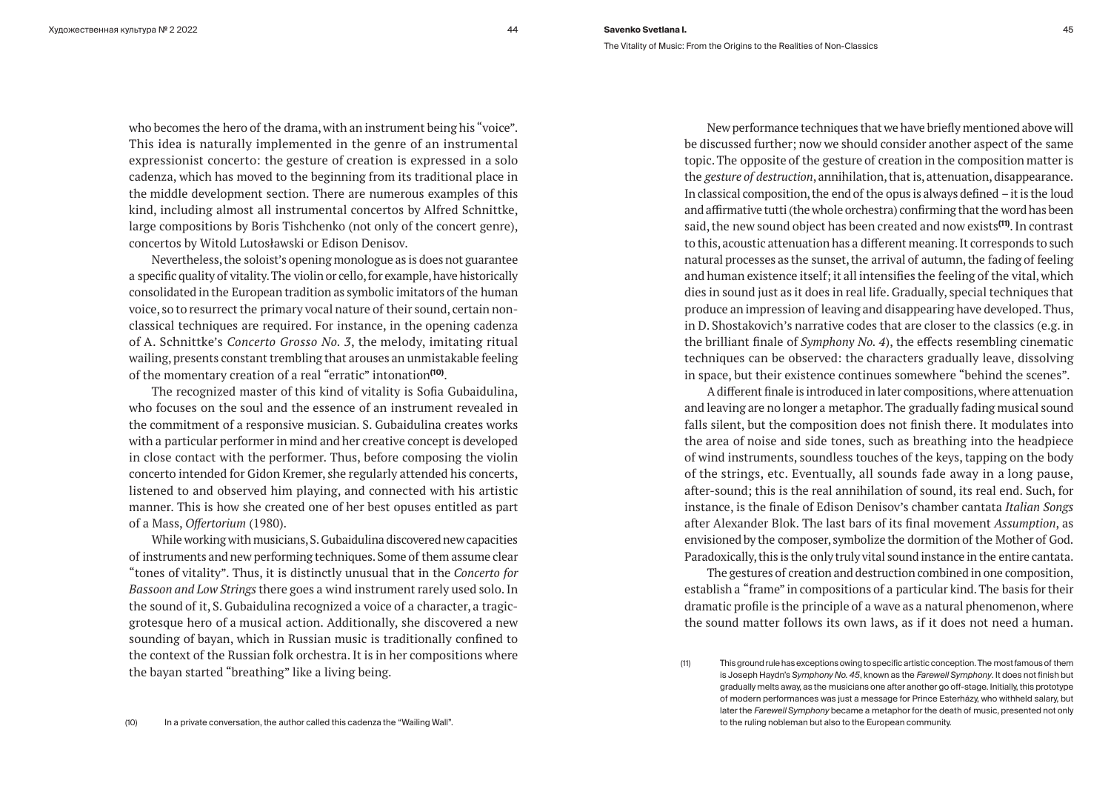who becomes the hero of the drama, with an instrument being his "voice". This idea is naturally implemented in the genre of an instrumental expressionist concerto: the gesture of creation is expressed in a solo cadenza, which has moved to the beginning from its traditional place in the middle development section. There are numerous examples of this kind, including almost all instrumental concertos by Alfred Schnittke, large compositions by Boris Tishchenko (not only of the concert genre), concertos by Witold Lutosławski or Edison Denisov.

Nevertheless, the soloist's opening monologue as is does not guarantee a specific quality of vitality. The violin or cello, for example, have historically consolidated in the European tradition as symbolic imitators of the human voice, so to resurrect the primary vocal nature of their sound, certain nonclassical techniques are required. For instance, in the opening cadenza of A. Schnittke's *Concerto Grosso No. 3*, the melody, imitating ritual wailing, presents constant trembling that arouses an unmistakable feeling of the momentary creation of a real "erratic" intonation**(10)**.

The recognized master of this kind of vitality is Sofia Gubaidulina, who focuses on the soul and the essence of an instrument revealed in the commitment of a responsive musician. S. Gubaidulina creates works with a particular performer in mind and her creative concept is developed in close contact with the performer. Thus, before composing the violin concerto intended for Gidon Kremer, she regularly attended his concerts, listened to and observed him playing, and connected with his artistic manner. This is how she created one of her best opuses entitled as part of a Mass, *Offertorium* (1980).

While working with musicians, S. Gubaidulina discovered new capacities of instruments and new performing techniques. Some of them assume clear "tones of vitality". Thus, it is distinctly unusual that in the *Concerto for Bassoon and Low Strings* there goes a wind instrument rarely used solo. In the sound of it, S. Gubaidulina recognized a voice of a character, a tragicgrotesque hero of a musical action. Additionally, she discovered a new sounding of bayan, which in Russian music is traditionally confined to the context of the Russian folk orchestra. It is in her compositions where the bayan started "breathing" like a living being.

New performance techniques that we have briefly mentioned above will be discussed further; now we should consider another aspect of the same topic. The opposite of the gesture of creation in the composition matter is the *gesture of destruction*, annihilation, that is, attenuation, disappearance. In classical composition, the end of the opus is always defined – it is the loud and affirmative tutti (the whole orchestra) confirming that the word has been said, the new sound object has been created and now exists**(11)**. In contrast to this, acoustic attenuation has a different meaning. It corresponds to such natural processes as the sunset, the arrival of autumn, the fading of feeling and human existence itself; it all intensifies the feeling of the vital, which dies in sound just as it does in real life. Gradually, special techniques that produce an impression of leaving and disappearing have developed. Thus, in D. Shostakovich's narrative codes that are closer to the classics (e.g. in the brilliant finale of *Symphony No. 4*), the effects resembling cinematic techniques can be observed: the characters gradually leave, dissolving in space, but their existence continues somewhere "behind the scenes".

A different finale is introduced in later compositions, where attenuation and leaving are no longer a metaphor. The gradually fading musical sound falls silent, but the composition does not finish there. It modulates into the area of noise and side tones, such as breathing into the headpiece of wind instruments, soundless touches of the keys, tapping on the body of the strings, etc. Eventually, all sounds fade away in a long pause, after-sound; this is the real annihilation of sound, its real end. Such, for instance, is the finale of Edison Denisov's chamber cantata *Italian Songs* after Alexander Blok. The last bars of its final movement *Assumption*, as envisioned by the composer, symbolize the dormition of the Mother of God. Paradoxically, this is the only truly vital sound instance in the entire cantata.

The gestures of creation and destruction combined in one composition, establish a "frame" in compositions of a particular kind. The basis for their dramatic profile is the principle of a wave as a natural phenomenon, where the sound matter follows its own laws, as if it does not need a human.

<sup>(11)</sup> This ground rule has exceptions owing to specific artistic conception. The most famous of them is Joseph Haydn's *Symphony No. 45*, known as the *Farewell Symphony*. It does not finish but gradually melts away, as the musicians one after another go off-stage. Initially, this prototype of modern performances was just a message for Prince Esterházy, who withheld salary, but later the *Farewell Symphony* became a metaphor for the death of music, presented not only to the ruling nobleman but also to the European community.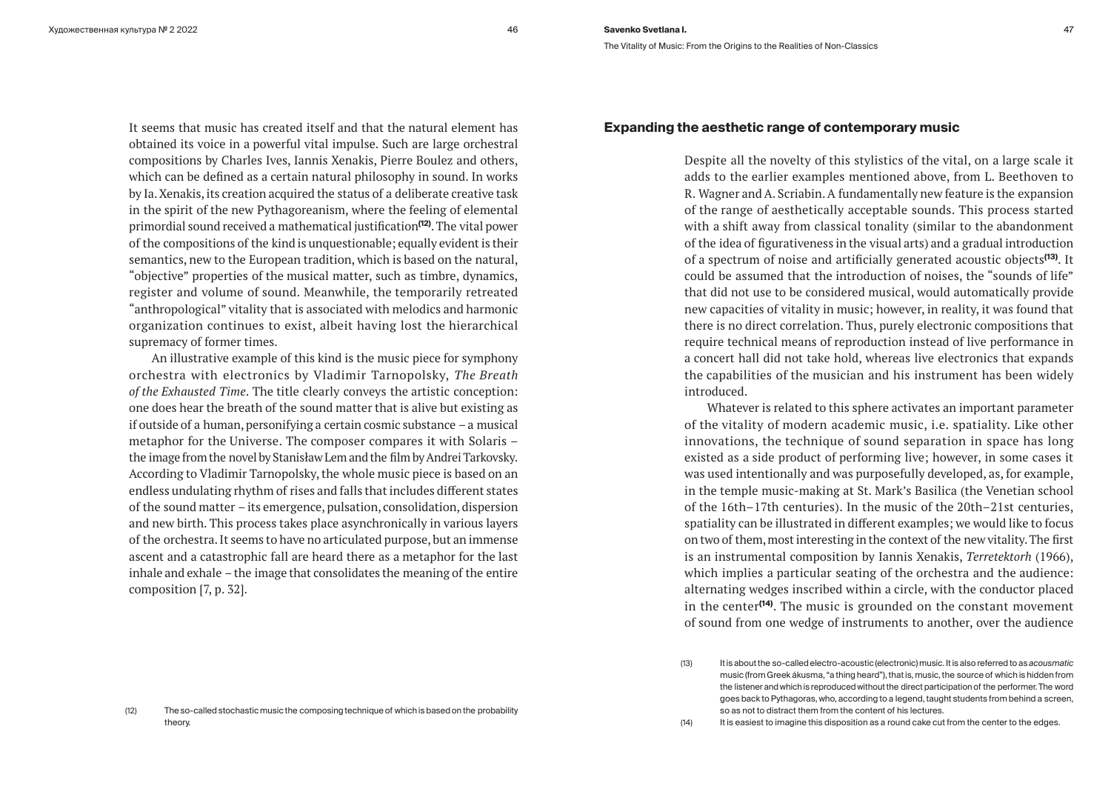It seems that music has created itself and that the natural element has obtained its voice in a powerful vital impulse. Such are large orchestral compositions by Charles Ives, Iannis Xenakis, Pierre Boulez and others, which can be defined as a certain natural philosophy in sound. In works by Ia. Xenakis, its creation acquired the status of a deliberate creative task in the spirit of the new Pythagoreanism, where the feeling of elemental primordial sound received a mathematical justification**(12)**. The vital power of the compositions of the kind is unquestionable; equally evident is their semantics, new to the European tradition, which is based on the natural, "objective" properties of the musical matter, such as timbre, dynamics, register and volume of sound. Meanwhile, the temporarily retreated "anthropological" vitality that is associated with melodics and harmonic organization continues to exist, albeit having lost the hierarchical supremacy of former times.

An illustrative example of this kind is the music piece for symphony orchestra with electronics by Vladimir Tarnopolsky, *The Breath of the Exhausted Time*. The title clearly conveys the artistic conception: one does hear the breath of the sound matter that is alive but existing as if outside of a human, personifying a certain cosmic substance – a musical metaphor for the Universe. The composer compares it with Solaris – the image from the novel by Stanisław Lem and the film by Andrei Tarkovsky. According to Vladimir Tarnopolsky, the whole music piece is based on an endless undulating rhythm of rises and falls that includes different states of the sound matter – its emergence, pulsation, consolidation, dispersion and new birth. This process takes place asynchronically in various layers of the orchestra. It seems to have no articulated purpose, but an immense ascent and a catastrophic fall are heard there as a metaphor for the last inhale and exhale – the image that consolidates the meaning of the entire composition [7, p. 32].

#### (12) The so-called stochastic music the composing technique of which is based on the probability theory.

## **Expanding the aesthetic range of contemporary music**

Despite all the novelty of this stylistics of the vital, on a large scale it adds to the earlier examples mentioned above, from L. Beethoven to R. Wagner and A. Scriabin. A fundamentally new feature is the expansion of the range of aesthetically acceptable sounds. This process started with a shift away from classical tonality (similar to the abandonment of the idea of figurativeness in the visual arts) and a gradual introduction of a spectrum of noise and artificially generated acoustic objects**(13)**. It could be assumed that the introduction of noises, the "sounds of life" that did not use to be considered musical, would automatically provide new capacities of vitality in music; however, in reality, it was found that there is no direct correlation. Thus, purely electronic compositions that require technical means of reproduction instead of live performance in a concert hall did not take hold, whereas live electronics that expands the capabilities of the musician and his instrument has been widely introduced.

Whatever is related to this sphere activates an important parameter of the vitality of modern academic music, i.e. spatiality. Like other innovations, the technique of sound separation in space has long existed as a side product of performing live; however, in some cases it was used intentionally and was purposefully developed, as, for example, in the temple music-making at St. Mark's Basilica (the Venetian school of the 16th–17th centuries). In the music of the 20th–21st centuries, spatiality can be illustrated in different examples; we would like to focus on two of them, most interesting in the context of the new vitality. The first is an instrumental composition by Iannis Xenakis, *Terretektorh* (1966), which implies a particular seating of the orchestra and the audience: alternating wedges inscribed within a circle, with the conductor placed in the center**(14)**. The music is grounded on the constant movement of sound from one wedge of instruments to another, over the audience

<sup>(13)</sup> It is about the so-called electro-acoustic (electronic) music. It is also referred to as *acousmatic* music (from Greek ákusma, "a thing heard"), that is, music, the source of which is hidden from the listener and which is reproduced without the direct participation of the performer. The word goes back to Pythagoras, who, according to a legend, taught students from behind a screen, so as not to distract them from the content of his lectures.

<sup>(14)</sup> It is easiest to imagine this disposition as a round cake cut from the center to the edges.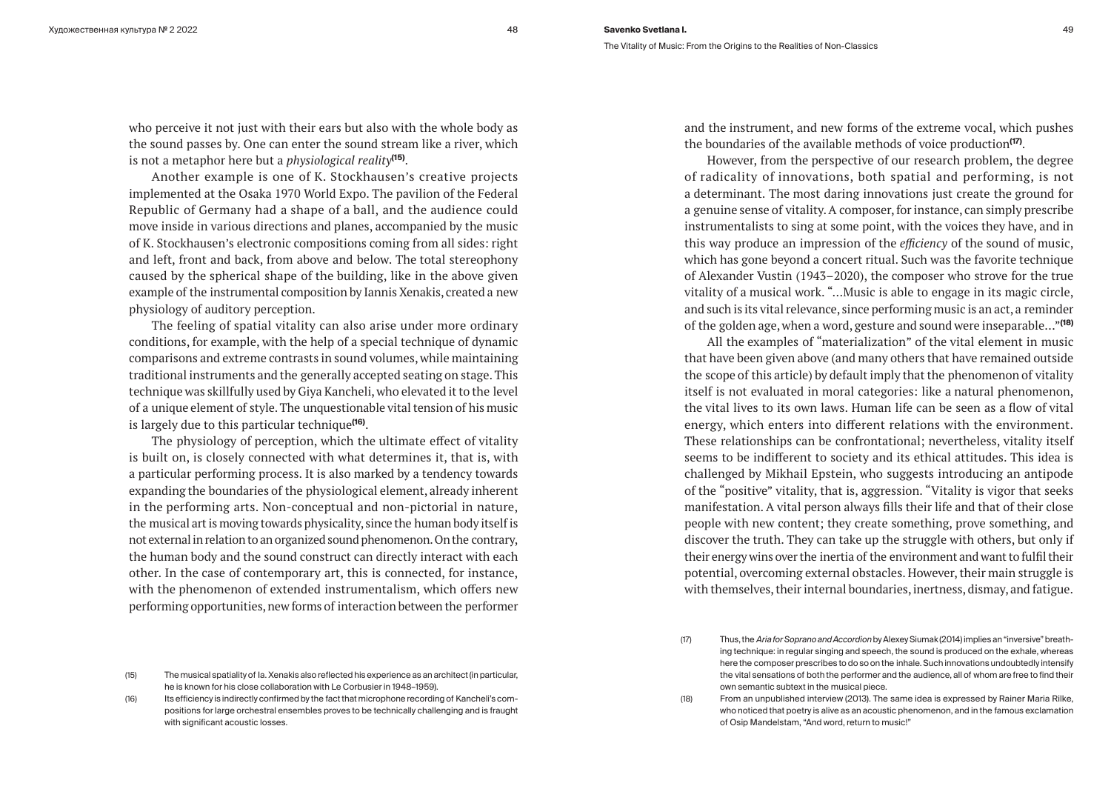who perceive it not just with their ears but also with the whole body as the sound passes by. One can enter the sound stream like a river, which is not a metaphor here but a *physiological reality***(15)**.

Another example is one of K. Stockhausen's creative projects implemented at the Osaka 1970 World Expo. The pavilion of the Federal Republic of Germany had a shape of a ball, and the audience could move inside in various directions and planes, accompanied by the music of K. Stockhausen's electronic compositions coming from all sides: right and left, front and back, from above and below. The total stereophony caused by the spherical shape of the building, like in the above given example of the instrumental composition by Iannis Xenakis, created a new physiology of auditory perception.

The feeling of spatial vitality can also arise under more ordinary conditions, for example, with the help of a special technique of dynamic comparisons and extreme contrasts in sound volumes, while maintaining traditional instruments and the generally accepted seating on stage. This technique was skillfully used by Giya Kancheli, who elevated it to the level of a unique element of style. The unquestionable vital tension of his music is largely due to this particular technique**(16)**.

The physiology of perception, which the ultimate effect of vitality is built on, is closely connected with what determines it, that is, with a particular performing process. It is also marked by a tendency towards expanding the boundaries of the physiological element, already inherent in the performing arts. Non-conceptual and non-pictorial in nature, the musical art is moving towards physicality, since the human body itself is not external in relation to an organized sound phenomenon. On the contrary, the human body and the sound construct can directly interact with each other. In the case of contemporary art, this is connected, for instance, with the phenomenon of extended instrumentalism, which offers new performing opportunities, new forms of interaction between the performer and the instrument, and new forms of the extreme vocal, which pushes the boundaries of the available methods of voice production**(17)**.

However, from the perspective of our research problem, the degree of radicality of innovations, both spatial and performing, is not a determinant. The most daring innovations just create the ground for a genuine sense of vitality. A composer, for instance, can simply prescribe instrumentalists to sing at some point, with the voices they have, and in this way produce an impression of the *efficiency* of the sound of music, which has gone beyond a concert ritual. Such was the favorite technique of Alexander Vustin (1943–2020), the composer who strove for the true vitality of a musical work. "...Music is able to engage in its magic circle, and such is its vital relevance, since performing music is an act, a reminder of the golden age, when a word, gesture and sound were inseparable…"**(18)**

All the examples of "materialization" of the vital element in music that have been given above (and many others that have remained outside the scope of this article) by default imply that the phenomenon of vitality itself is not evaluated in moral categories: like a natural phenomenon, the vital lives to its own laws. Human life can be seen as a flow of vital energy, which enters into different relations with the environment. These relationships can be confrontational; nevertheless, vitality itself seems to be indifferent to society and its ethical attitudes. This idea is challenged by Mikhail Epstein, who suggests introducing an antipode of the "positive" vitality, that is, aggression. "Vitality is vigor that seeks manifestation. A vital person always fills their life and that of their close people with new content; they create something, prove something, and discover the truth. They can take up the struggle with others, but only if their energy wins over the inertia of the environment and want to fulfil their potential, overcoming external obstacles. However, their main struggle is with themselves, their internal boundaries, inertness, dismay, and fatigue.

<sup>(17)</sup> Thus, the *Aria for Soprano and Accordion* by Alexey Siumak (2014) implies an "inversive" breathing technique: in regular singing and speech, the sound is produced on the exhale, whereas here the composer prescribes to do so on the inhale. Such innovations undoubtedly intensify the vital sensations of both the performer and the audience, all of whom are free to find their own semantic subtext in the musical piece.

<sup>(18)</sup> From an unpublished interview (2013). The same idea is expressed by Rainer Maria Rilke, who noticed that poetry is alive as an acoustic phenomenon, and in the famous exclamation of Osip Mandelstam, "And word, return to music!"

<sup>(15)</sup> The musical spatiality of Ia. Xenakis also reflected his experience as an architect (in particular, he is known for his close collaboration with Le Corbusier in 1948–1959).

<sup>(16)</sup> Its efficiency is indirectly confirmed by the fact that microphone recording of Kancheli's compositions for large orchestral ensembles proves to be technically challenging and is fraught with significant acoustic losses.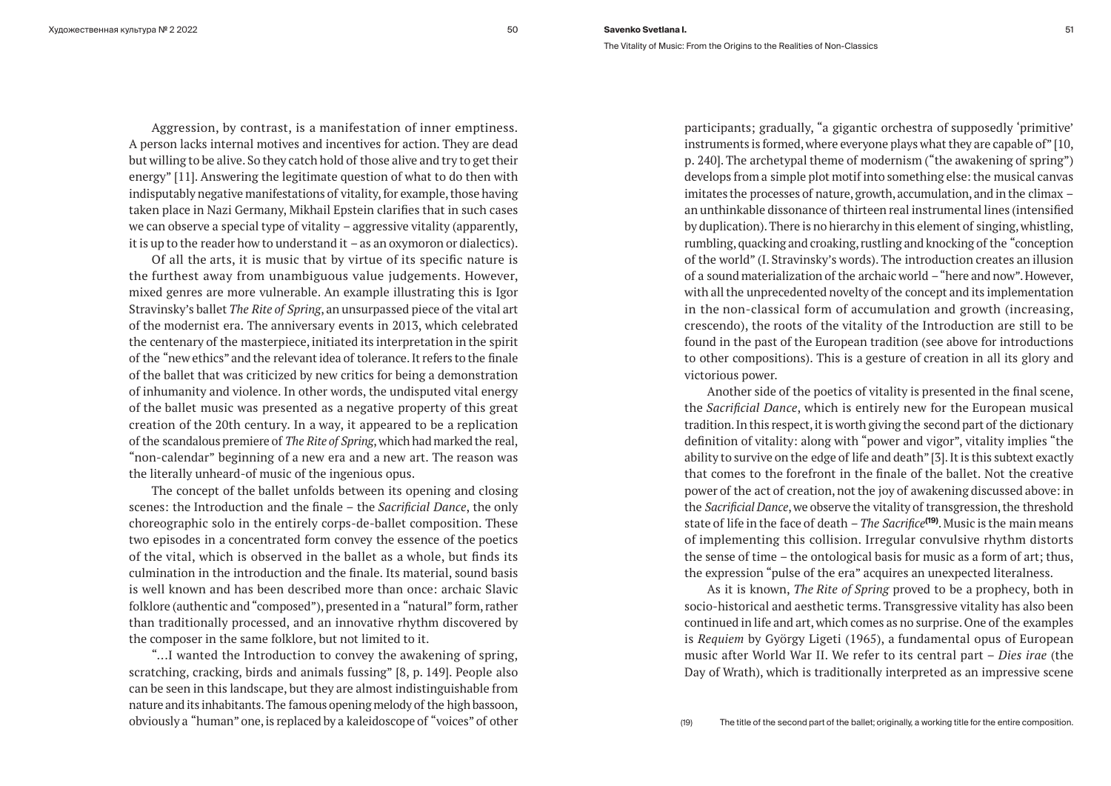Aggression, by contrast, is a manifestation of inner emptiness. A person lacks internal motives and incentives for action. They are dead but willing to be alive. So they catch hold of those alive and try to get their energy" [11]. Answering the legitimate question of what to do then with indisputably negative manifestations of vitality, for example, those having taken place in Nazi Germany, Mikhail Epstein clarifies that in such cases we can observe a special type of vitality – aggressive vitality (apparently, it is up to the reader how to understand it – as an oxymoron or dialectics).

Of all the arts, it is music that by virtue of its specific nature is the furthest away from unambiguous value judgements. However, mixed genres are more vulnerable. An example illustrating this is Igor Stravinsky's ballet *The Rite of Spring*, an unsurpassed piece of the vital art of the modernist era. The anniversary events in 2013, which celebrated the centenary of the masterpiece, initiated its interpretation in the spirit of the "new ethics" and the relevant idea of tolerance. It refers to the finale of the ballet that was criticized by new critics for being a demonstration of inhumanity and violence. In other words, the undisputed vital energy of the ballet music was presented as a negative property of this great creation of the 20th century. In a way, it appeared to be a replication of the scandalous premiere of *The Rite of Spring*, which had marked the real, "non-calendar" beginning of a new era and a new art. The reason was the literally unheard-of music of the ingenious opus.

The concept of the ballet unfolds between its opening and closing scenes: the Introduction and the finale – the *Sacrificial Dance*, the only choreographic solo in the entirely corps-de-ballet composition. These two episodes in a concentrated form convey the essence of the poetics of the vital, which is observed in the ballet as a whole, but finds its culmination in the introduction and the finale. Its material, sound basis is well known and has been described more than once: archaic Slavic folklore (authentic and "composed"), presented in a "natural" form, rather than traditionally processed, and an innovative rhythm discovered by the composer in the same folklore, but not limited to it.

"...I wanted the Introduction to convey the awakening of spring, scratching, cracking, birds and animals fussing" [8, p. 149]. People also can be seen in this landscape, but they are almost indistinguishable from nature and its inhabitants. The famous opening melody of the high bassoon, obviously a "human" one, is replaced by a kaleidoscope of "voices" of other participants; gradually, "a gigantic orchestra of supposedly 'primitive' instruments is formed, where everyone plays what they are capable of" [10, p. 240]. The archetypal theme of modernism ("the awakening of spring") develops from a simple plot motif into something else: the musical canvas imitates the processes of nature, growth, accumulation, and in the climax – an unthinkable dissonance of thirteen real instrumental lines (intensified by duplication). There is no hierarchy in this element of singing, whistling, rumbling, quacking and croaking, rustling and knocking of the "conception of the world" (I. Stravinsky's words). The introduction creates an illusion of a sound materialization of the archaic world – "here and now". However, with all the unprecedented novelty of the concept and its implementation in the non-classical form of accumulation and growth (increasing, crescendo), the roots of the vitality of the Introduction are still to be found in the past of the European tradition (see above for introductions to other compositions). This is a gesture of creation in all its glory and victorious power.

Another side of the poetics of vitality is presented in the final scene, the *Sacrificial Dance*, which is entirely new for the European musical tradition. In this respect, it is worth giving the second part of the dictionary definition of vitality: along with "power and vigor", vitality implies "the ability to survive on the edge of life and death" [3]. It is this subtext exactly that comes to the forefront in the finale of the ballet. Not the creative power of the act of creation, not the joy of awakening discussed above: in the *Sacrificial Dance*, we observe the vitality of transgression, the threshold state of life in the face of death – *The Sacrifice***(19)**. Music is the main means of implementing this collision. Irregular convulsive rhythm distorts the sense of time – the ontological basis for music as a form of art; thus, the expression "pulse of the era" acquires an unexpected literalness.

As it is known, *The Rite of Spring* proved to be a prophecy, both in socio-historical and aesthetic terms. Transgressive vitality has also been continued in life and art, which comes as no surprise. One of the examples is *Requiem* by György Ligeti (1965), a fundamental opus of European music after World War II. We refer to its central part – *Dies irae* (the Day of Wrath), which is traditionally interpreted as an impressive scene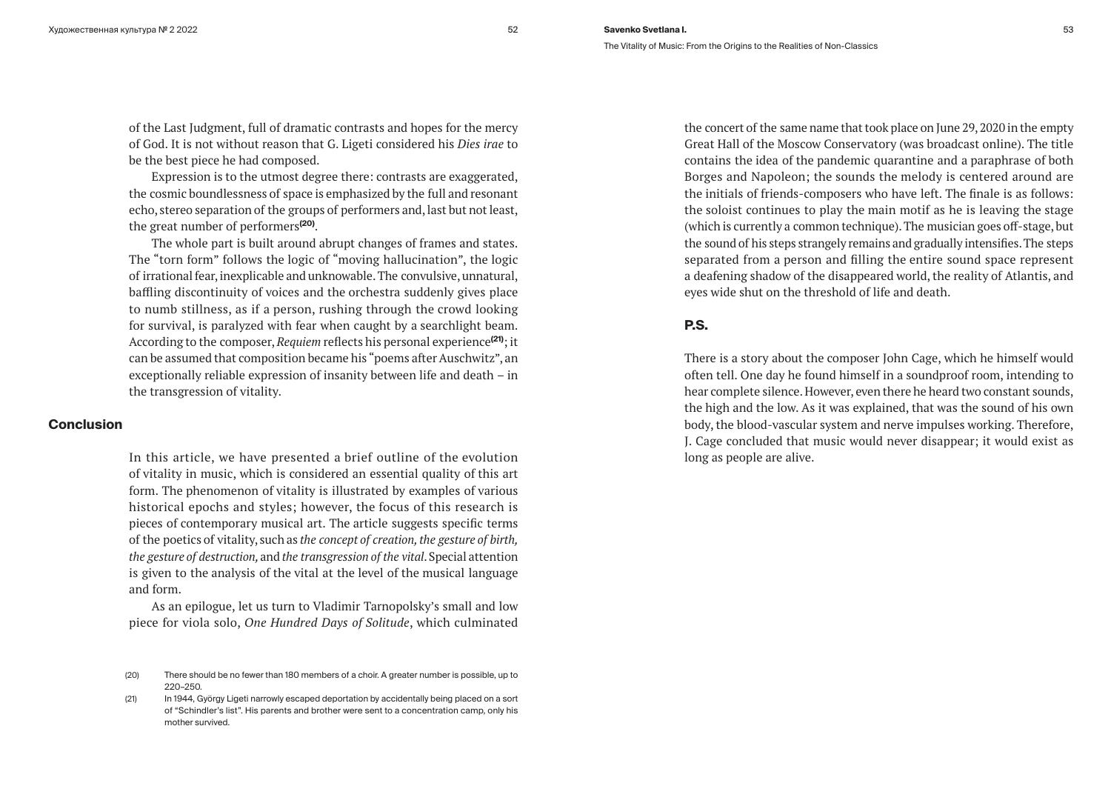of the Last Judgment, full of dramatic contrasts and hopes for the mercy of God. It is not without reason that G. Ligeti considered his *Dies irae* to be the best piece he had composed.

Expression is to the utmost degree there: contrasts are exaggerated, the cosmic boundlessness of space is emphasized by the full and resonant echo, stereo separation of the groups of performers and, last but not least, the great number of performers**(20)**.

The whole part is built around abrupt changes of frames and states. The "torn form" follows the logic of "moving hallucination", the logic of irrational fear, inexplicable and unknowable. The convulsive, unnatural, baffling discontinuity of voices and the orchestra suddenly gives place to numb stillness, as if a person, rushing through the crowd looking for survival, is paralyzed with fear when caught by a searchlight beam. According to the composer, *Requiem* reflects his personal experience**(21)**; it can be assumed that composition became his "poems after Auschwitz", an exceptionally reliable expression of insanity between life and death – in the transgression of vitality.

## **Conclusion**

In this article, we have presented a brief outline of the evolution of vitality in music, which is considered an essential quality of this art form. The phenomenon of vitality is illustrated by examples of various historical epochs and styles; however, the focus of this research is pieces of contemporary musical art. The article suggests specific terms of the poetics of vitality, such as *the concept of creation, the gesture of birth, the gesture of destruction,* and *the transgression of the vital*. Special attention is given to the analysis of the vital at the level of the musical language and form.

As an epilogue, let us turn to Vladimir Tarnopolsky's small and low piece for viola solo, *One Hundred Days of Solitude*, which culminated

(21) In 1944, György Ligeti narrowly escaped deportation by accidentally being placed on a sort of "Schindler's list". His parents and brother were sent to a concentration camp, only his mother survived.

the concert of the same name that took place on June 29, 2020 in the empty Great Hall of the Moscow Conservatory (was broadcast online). The title contains the idea of the pandemic quarantine and a paraphrase of both Borges and Napoleon; the sounds the melody is centered around are the initials of friends-composers who have left. The finale is as follows: the soloist continues to play the main motif as he is leaving the stage (which is currently a common technique). The musician goes off-stage, but the sound of his steps strangely remains and gradually intensifies. The steps separated from a person and filling the entire sound space represent a deafening shadow of the disappeared world, the reality of Atlantis, and eyes wide shut on the threshold of life and death.

# **P.S.**

There is a story about the composer John Cage, which he himself would often tell. One day he found himself in a soundproof room, intending to hear complete silence. However, even there he heard two constant sounds, the high and the low. As it was explained, that was the sound of his own body, the blood-vascular system and nerve impulses working. Therefore, J. Cage concluded that music would never disappear; it would exist as long as people are alive.

<sup>(20)</sup> There should be no fewer than 180 members of a choir. A greater number is possible, up to 220–250.